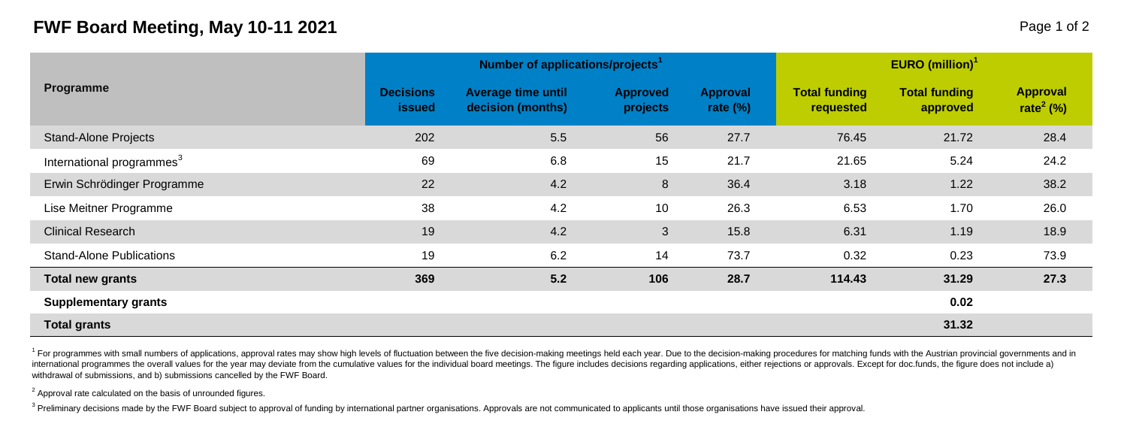## **FWF Board Meeting, May 10-11 2021 Page 1 of 2 Page 1 of 2**

| Programme                             |                                   | Number of applications/projects <sup>1</sup>   |                             | <b>EURO</b> (million) <sup>1</sup> |                                   |                                  |                                          |  |
|---------------------------------------|-----------------------------------|------------------------------------------------|-----------------------------|------------------------------------|-----------------------------------|----------------------------------|------------------------------------------|--|
|                                       | <b>Decisions</b><br><b>issued</b> | <b>Average time until</b><br>decision (months) | <b>Approved</b><br>projects | Approval<br>rate $(\%)$            | <b>Total funding</b><br>requested | <b>Total funding</b><br>approved | <b>Approval</b><br>rate <sup>2</sup> (%) |  |
| <b>Stand-Alone Projects</b>           | 202                               | 5.5                                            | 56                          | 27.7                               | 76.45                             | 21.72                            | 28.4                                     |  |
| International programmes <sup>3</sup> | 69                                | 6.8                                            | 15                          | 21.7                               | 21.65                             | 5.24                             | 24.2                                     |  |
| Erwin Schrödinger Programme           | 22                                | 4.2                                            | 8                           | 36.4                               | 3.18                              | 1.22                             | 38.2                                     |  |
| Lise Meitner Programme                | 38                                | 4.2                                            | 10                          | 26.3                               | 6.53                              | 1.70                             | 26.0                                     |  |
| <b>Clinical Research</b>              | 19                                | 4.2                                            | 3                           | 15.8                               | 6.31                              | 1.19                             | 18.9                                     |  |
| <b>Stand-Alone Publications</b>       | 19                                | 6.2                                            | 14                          | 73.7                               | 0.32                              | 0.23                             | 73.9                                     |  |
| <b>Total new grants</b>               | 369                               | 5.2                                            | 106                         | 28.7                               | 114.43                            | 31.29                            | 27.3                                     |  |
| Supplementary grants                  |                                   |                                                |                             |                                    |                                   | 0.02                             |                                          |  |
| <b>Total grants</b>                   |                                   |                                                |                             |                                    |                                   | 31.32                            |                                          |  |

<sup>1</sup> For programmes with small numbers of applications, approval rates may show high levels of fluctuation between the five decision-making meetings held each year. Due to the decision-making procedures for matching funds w international programmes the overall values for the vear may deviate from the cumulative values for the individual board meetings. The figure includes decisions regarding applications, either rejections or approvals. Excep withdrawal of submissions, and b) submissions cancelled by the FWF Board.

 $2$  Approval rate calculated on the basis of unrounded figures.

<sup>3</sup> Preliminary decisions made by the FWF Board subject to approval of funding by international partner organisations. Approvals are not communicated to applicants until those organisations have issued their approval.